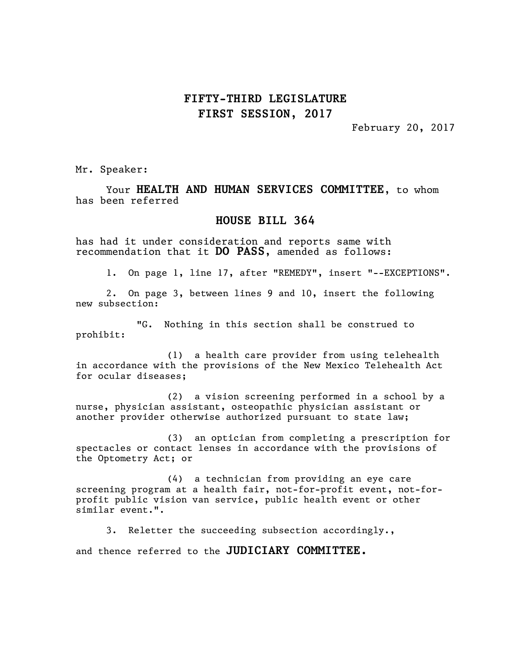## **FIFTY-THIRD LEGISLATURE FIRST SESSION, 2017**

February 20, 2017

Mr. Speaker:

Your **HEALTH AND HUMAN SERVICES COMMITTEE**, to whom has been referred

## **HOUSE BILL 364**

has had it under consideration and reports same with recommendation that it **DO PASS**, amended as follows:

1. On page 1, line 17, after "REMEDY", insert "--EXCEPTIONS".

2. On page 3, between lines 9 and 10, insert the following new subsection:

"G. Nothing in this section shall be construed to prohibit:

(1) a health care provider from using telehealth in accordance with the provisions of the New Mexico Telehealth Act for ocular diseases;

(2) a vision screening performed in a school by a nurse, physician assistant, osteopathic physician assistant or another provider otherwise authorized pursuant to state law;

(3) an optician from completing a prescription for spectacles or contact lenses in accordance with the provisions of the Optometry Act; or

(4) a technician from providing an eye care screening program at a health fair, not-for-profit event, not-forprofit public vision van service, public health event or other similar event.".

3. Reletter the succeeding subsection accordingly., and thence referred to the **JUDICIARY COMMITTEE.**